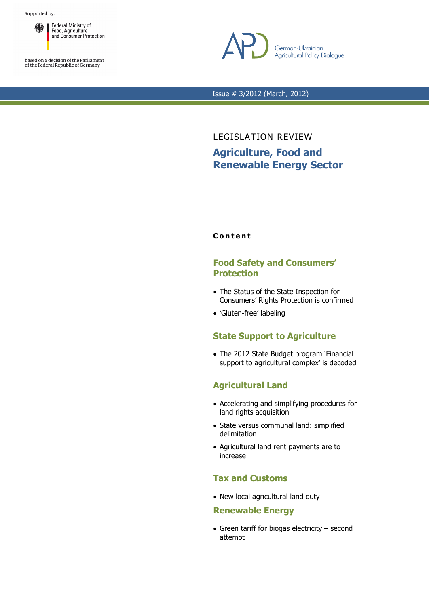

based on a decision of the Parliament<br>of the Federal Republic of Germany



Issue # 3/2012 (March, 2012)

LEGISLATION REVIEW **Agriculture, Food and Renewable Energy Sector** 

## **C o n t e n t**

## **Food Safety and Consumers' Protection**

- The Status of the State Inspection for Consumers' Rights Protection is confirmed
- 'Gluten-free' labeling

# **State Support to Agriculture**

• The 2012 State Budget program 'Financial support to agricultural complex' is decoded

# **Agricultural Land**

- Accelerating and simplifying procedures for land rights acquisition
- State versus communal land: simplified delimitation
- Agricultural land rent payments are to increase

# **Tax and Customs**

• New local agricultural land duty

## **Renewable Energy**

• Green tariff for biogas electricity – second attempt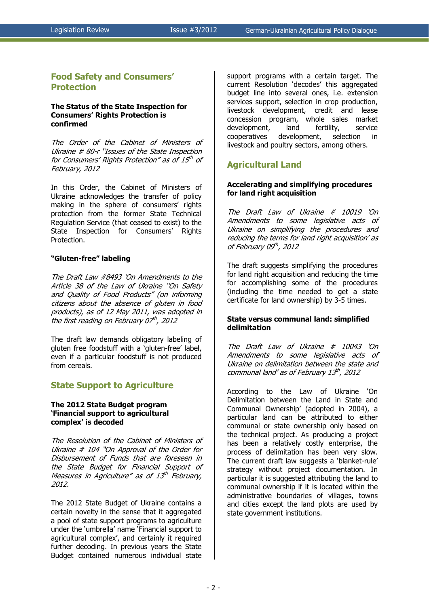## **Food Safety and Consumers' Protection**

### **The Status of the State Inspection for Consumers' Rights Protection is confirmed**

The Order of the Cabinet of Ministers of Ukraine # 80-r "Issues of the State Inspection for Consumers' Rights Protection" as of 15<sup>th</sup> of February, 2012

In this Order, the Cabinet of Ministers of Ukraine acknowledges the transfer of policy making in the sphere of consumers' rights protection from the former State Technical Regulation Service (that ceased to exist) to the State Inspection for Consumers' Rights Protection.

## **"Gluten-free" labeling**

The Draft Law #8493 'On Amendments to the Article 38 of the Law of Ukraine "On Safety and Quality of Food Products" (on informing citizens about the absence of gluten in food products), as of 12 May 2011, was adopted in the first reading on February 07<sup>th</sup>, 2012

The draft law demands obligatory labeling of gluten free foodstuff with a 'gluten-free' label, even if a particular foodstuff is not produced from cereals.

## **State Support to Agriculture**

## **The 2012 State Budget program 'Financial support to agricultural complex' is decoded**

The Resolution of the Cabinet of Ministers of Ukraine # 104 "On Approval of the Order for Disbursement of Funds that are foreseen in the State Budget for Financial Support of Measures in Agriculture" as of 13th February, 2012.

The 2012 State Budget of Ukraine contains a certain novelty in the sense that it aggregated a pool of state support programs to agriculture under the 'umbrella' name 'Financial support to agricultural complex', and certainly it required further decoding. In previous years the State Budget contained numerous individual state

support programs with a certain target. The current Resolution 'decodes' this aggregated budget line into several ones, i.e. extension services support, selection in crop production, livestock development, credit and lease concession program, whole sales market development, land fertility, service cooperatives development, selection in livestock and poultry sectors, among others.

## **Agricultural Land**

### **Accelerating and simplifying procedures for land right acquisition**

The Draft Law of Ukraine # 10019 'On Amendments to some legislative acts of Ukraine on simplifying the procedures and reducing the terms for land right acquisition' as of February 09th, 2012

The draft suggests simplifying the procedures for land right acquisition and reducing the time for accomplishing some of the procedures (including the time needed to get a state certificate for land ownership) by 3-5 times.

### **State versus communal land: simplified delimitation**

The Draft Law of Ukraine # 10043 'On Amendments to some legislative acts of Ukraine on delimitation between the state and communal land' as of February 13<sup>th</sup>, 2012

According to the Law of Ukraine 'On Delimitation between the Land in State and Communal Ownership' (adopted in 2004), a particular land can be attributed to either communal or state ownership only based on the technical project. As producing a project has been a relatively costly enterprise, the process of delimitation has been very slow. The current draft law suggests a 'blanket-rule' strategy without project documentation. In particular it is suggested attributing the land to communal ownership if it is located within the administrative boundaries of villages, towns and cities except the land plots are used by state government institutions.